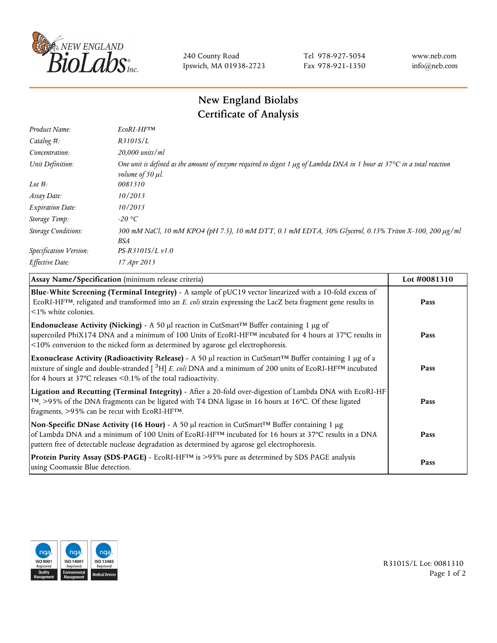

240 County Road Ipswich, MA 01938-2723 Tel 978-927-5054 Fax 978-921-1350 www.neb.com info@neb.com

## **New England Biolabs Certificate of Analysis**

| Product Name:              | EcoRI-HFTM                                                                                                                                                                       |
|----------------------------|----------------------------------------------------------------------------------------------------------------------------------------------------------------------------------|
| Catalog #:                 | R3101S/L                                                                                                                                                                         |
| Concentration:             | 20,000 units/ml                                                                                                                                                                  |
| Unit Definition:           | One unit is defined as the amount of enzyme required to digest 1 $\mu$ g of Lambda DNA in 1 hour at 37 $\degree$ C in a total reaction<br><i>volume of 50 <math>\mu</math>l.</i> |
| Lot $#$ :                  | 0081310                                                                                                                                                                          |
| Assay Date:                | 10/2013                                                                                                                                                                          |
| <b>Expiration Date:</b>    | 10/2015                                                                                                                                                                          |
| Storage Temp:              | -20 °C                                                                                                                                                                           |
| <b>Storage Conditions:</b> | 300 mM NaCl, 10 mM KPO4 (pH 7.5), 10 mM DTT, 0.1 mM EDTA, 50% Glycerol, 0.15% Triton X-100, 200 µg/ml<br>BSA                                                                     |
| Specification Version:     | $PS-R3101S/L \nu 1.0$                                                                                                                                                            |
| Effective Date:            | 17 Apr 2013                                                                                                                                                                      |

| Assay Name/Specification (minimum release criteria)                                                                                                                                                                                                                                                                                          | Lot #0081310 |
|----------------------------------------------------------------------------------------------------------------------------------------------------------------------------------------------------------------------------------------------------------------------------------------------------------------------------------------------|--------------|
| Blue-White Screening (Terminal Integrity) - A sample of pUC19 vector linearized with a 10-fold excess of<br>ECORI-HFTM, religated and transformed into an E. coli strain expressing the LacZ beta fragment gene results in<br>$\leq$ 1% white colonies.                                                                                      | Pass         |
| <b>Endonuclease Activity (Nicking)</b> - A 50 µl reaction in CutSmart <sup>TM</sup> Buffer containing 1 µg of<br>supercoiled PhiX174 DNA and a minimum of 100 Units of EcoRI-HF <sup>TM</sup> incubated for 4 hours at 37°C results in<br><10% conversion to the nicked form as determined by agarose gel electrophoresis.                   | Pass         |
| Exonuclease Activity (Radioactivity Release) - A 50 $\mu$ l reaction in CutSmart <sup>TM</sup> Buffer containing 1 $\mu$ g of a<br>mixture of single and double-stranded $[{}^{3}H]$ E. coli DNA and a minimum of 200 units of EcoRI-HF <sup>TM</sup> incubated<br>for 4 hours at 37 $\degree$ C releases < 0.1% of the total radioactivity. | Pass         |
| Ligation and Recutting (Terminal Integrity) - After a 20-fold over-digestion of Lambda DNA with EcoRI-HF<br>$\lceil m \rceil$ , >95% of the DNA fragments can be ligated with T4 DNA ligase in 16 hours at 16 °C. Of these ligated<br>fragments, >95% can be recut with EcoRI-HFTM.                                                          | Pass         |
| Non-Specific DNase Activity (16 Hour) - A 50 µl reaction in CutSmart™ Buffer containing 1 µg<br>of Lambda DNA and a minimum of 100 Units of EcoRI-HF <sup>TM</sup> incubated for 16 hours at 37°C results in a DNA<br>pattern free of detectable nuclease degradation as determined by agarose gel electrophoresis.                          | Pass         |
| Protein Purity Assay (SDS-PAGE) - EcoRI-HF™ is >95% pure as determined by SDS PAGE analysis<br>using Coomassie Blue detection.                                                                                                                                                                                                               | Pass         |



R3101S/L Lot: 0081310 Page 1 of 2